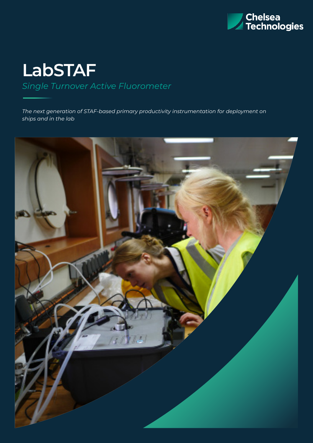

# **LabSTAF**  *Single Turnover Active Fluorometer*

*The next generation of STAF-based primary productivity instrumentation for deployment on ships and in the lab* 

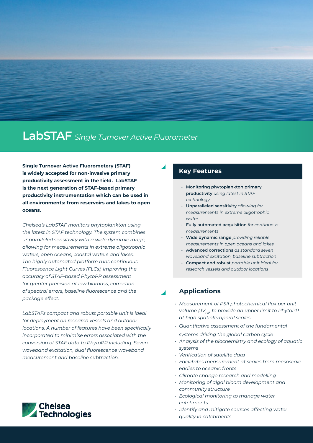## **LabSTAF** *Single Turnover Active Fluorometer*

**Single Turnover Active Fluorometery (STAF) is widely accepted for non-invasive primary productivity assessment in the field. LabSTAF is the next generation of STAF-based primary productivity instrumentation which can be used in all environments: from reservoirs and lakes to open oceans.** 

*Chelsea's LabSTAF monitors phytoplankton using the latest in STAF technology. The system combines unparalleled sensitivity with a wide dynamic range, allowing for measurements in extreme oligotrophic waters, open oceans, coastal waters and lakes. The highly automated platform runs continuous Fluorescence Light Curves (FLCs), improving the accuracy of STAF-based PhytoPP assessment for greater precision at low biomass, correction of spectral errors, baseline fluorescence and the package effect.* 

*LabSTAFs compact and robust portable unit is ideal for deployment on research vessels and outdoor locations. A number of features have been specifically incorporated to minimise errors associated with the conversion of STAF data to PhytoPP including: Seven waveband excitation, dual fluorescence waveband measurement and baseline subtraction.* 



#### **Key Features**

- **• Monitoring phytoplankton primary productivity** *using latest in STAF technology*
- **• Unparalleled sensitivity** *allowing for measurements in extreme oilgotrophic water*
- **• Fully automated acquisition** *for continuous measurements*
- **• Wide dynamic range** *providing reliable measurements in open oceans and lakes*
- **• Advanced corrections** *as standard seven waveband excitation, baseline subtraction*
- **• Compact and robust** *portable unit ideal for research vessels and outdoor locations*

#### **Applications**

- *• Measurement of PSII photochemical flux per unit volume (JV<sub>pII</sub>)* to provide an upper limit to PhytoPP *at high spatiotemporal scales.*
- *• Quantitative assessment of the fundamental*
- *systems driving the global carbon cycle*
- *• Analysis of the biochemistry and ecology of aquatic systems*
- *• Verification of satellite data*
- *• Facilitates measurement at scales from mesoscale eddies to oceanic fronts*
- *• Climate change research and modelling*
- *• Monitoring of algal bloom development and community structure*
- *• Ecological monitoring to manage water catchments*
- *• Identify and mitigate sources affecting water quality in catchments*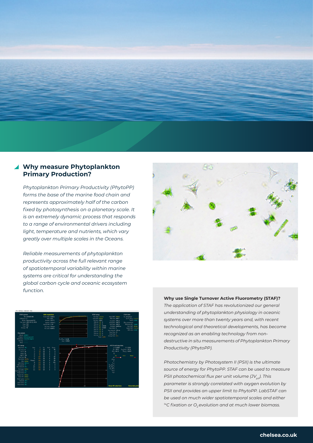

#### **Why measure Phytoplankton Primary Production?**

*Phytoplankton Primary Productivity (PhytoPP) forms the base of the marine food chain and represents approximately half of the carbon fixed by photosynthesis on a planetary scale. It is an extremely dynamic process that responds to a range of environmental drivers including light, temperature and nutrients, which vary greatly over multiple scales in the Oceans.* 

*Reliable measurements of phytoplankton productivity across the full relevant range of spatiotemporal variability within marine systems are critical for understanding the global carbon cycle and oceanic ecosystem function.* 





**Why use Single Turnover Active Fluorometry (STAF)?**

*The application of STAF has revolutionized our general understanding of phytoplankton physiology in oceanic systems over more than twenty years and, with recent technological and theoretical developments, has become recognized as an enabling technology from nondestructive in situ measurements of Phytoplankton Primary Productivity (PhytoPP).* 

*Photochemistry by Photosystem II (PSII) is the ultimate source of energy for PhytoPP. STAF can be used to measure PSII photochemical flux per unit volume (JV<sub>pII</sub>). This parameter is strongly correlated with oxygen evolution by PSII and provides an upper limit to PhytoPP. LabSTAF can be used on much wider spatiotemporal scales and either*  <sup>14</sup>C fixation or O<sub>2</sub> evolution and at much lower biomass.